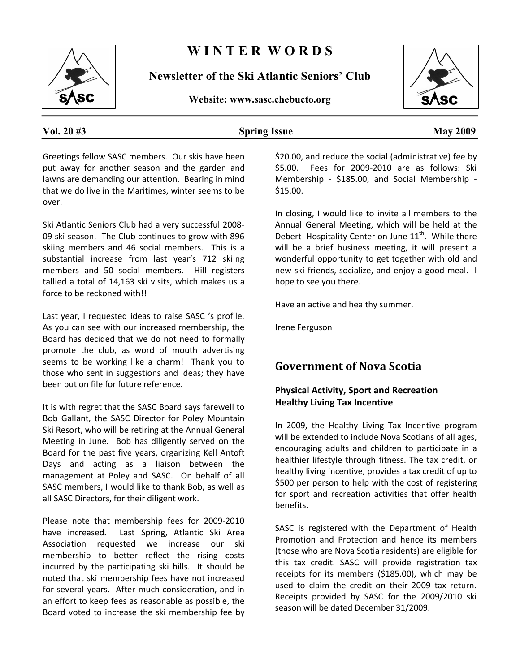

# **W I N T E R W O R D S**

**Newsletter of the Ski Atlantic Seniors' Club** 

**Website: www.sasc.chebucto.org** 



#### **Vol. 20 #3 Spring Issue May 2009**

Greetings fellow SASC members. Our skis have been put away for another season and the garden and lawns are demanding our attention. Bearing in mind that we do live in the Maritimes, winter seems to be over.

Ski Atlantic Seniors Club had a very successful 2008‐ 09 ski season. The Club continues to grow with 896 skiing members and 46 social members. This is a substantial increase from last year's 712 skiing members and 50 social members. Hill registers tallied a total of 14,163 ski visits, which makes us a force to be reckoned with!!

Last year, I requested ideas to raise SASC 's profile. As you can see with our increased membership, the Board has decided that we do not need to formally promote the club, as word of mouth advertising seems to be working like a charm! Thank you to those who sent in suggestions and ideas; they have been put on file for future reference.

It is with regret that the SASC Board says farewell to Bob Gallant, the SASC Director for Poley Mountain Ski Resort, who will be retiring at the Annual General Meeting in June. Bob has diligently served on the Board for the past five years, organizing Kell Antoft Days and acting as a liaison between the management at Poley and SASC. On behalf of all SASC members, I would like to thank Bob, as well as all SASC Directors, for their diligent work.

Please note that membership fees for 2009‐2010 have increased. Last Spring, Atlantic Ski Area Association requested we increase our ski membership to better reflect the rising costs incurred by the participating ski hills. It should be noted that ski membership fees have not increased for several years. After much consideration, and in an effort to keep fees as reasonable as possible, the Board voted to increase the ski membership fee by \$20.00, and reduce the social (administrative) fee by \$5.00. Fees for 2009‐2010 are as follows: Ski Membership - \$185.00, and Social Membership -\$15.00.

In closing, I would like to invite all members to the Annual General Meeting, which will be held at the Debert Hospitality Center on June  $11^{\text{th}}$ . While there will be a brief business meeting, it will present a wonderful opportunity to get together with old and new ski friends, socialize, and enjoy a good meal. I hope to see you there.

Have an active and healthy summer.

Irene Ferguson

### **Government of Nova Scotia**

#### **Physical Activity, Sport and Recreation Healthy Living Tax Incentive**

In 2009, the Healthy Living Tax Incentive program will be extended to include Nova Scotians of all ages, encouraging adults and children to participate in a healthier lifestyle through fitness. The tax credit, or healthy living incentive, provides a tax credit of up to \$500 per person to help with the cost of registering for sport and recreation activities that offer health benefits.

SASC is registered with the Department of Health Promotion and Protection and hence its members (those who are Nova Scotia residents) are eligible for this tax credit. SASC will provide registration tax receipts for its members (\$185.00), which may be used to claim the credit on their 2009 tax return. Receipts provided by SASC for the 2009/2010 ski season will be dated December 31/2009.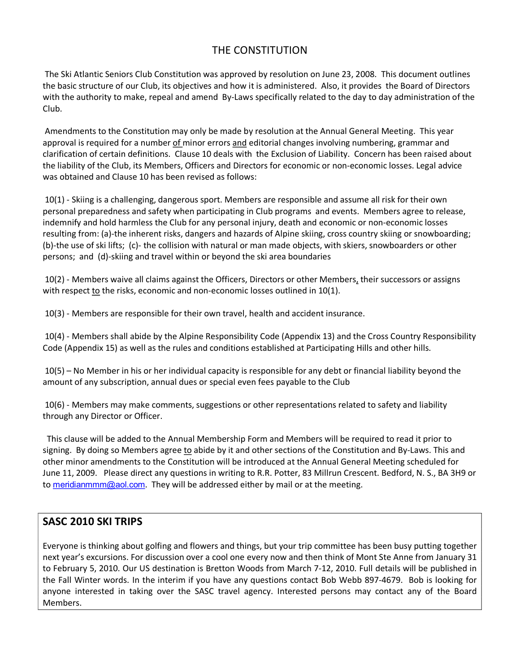# THE CONSTITUTION

The Ski Atlantic Seniors Club Constitution was approved by resolution on June 23, 2008. This document outlines the basic structure of our Club, its objectives and how it is administered. Also, it provides the Board of Directors with the authority to make, repeal and amend By-Laws specifically related to the day to day administration of the Club.

Amendments to the Constitution may only be made by resolution at the Annual General Meeting. This year approval is required for a number of minor errors and editorial changes involving numbering, grammar and clarification of certain definitions. Clause 10 deals with the Exclusion of Liability. Concern has been raised about the liability of the Club, its Members, Officers and Directors for economic or non‐economic losses. Legal advice was obtained and Clause 10 has been revised as follows:

10(1) ‐ Skiing is a challenging, dangerous sport. Members are responsible and assume all risk for their own personal preparedness and safety when participating in Club programs and events. Members agree to release, indemnify and hold harmless the Club for any personal injury, death and economic or non‐economic losses resulting from: (a)-the inherent risks, dangers and hazards of Alpine skiing, cross country skiing or snowboarding; (b)‐the use of ski lifts; (c)‐ the collision with natural or man made objects, with skiers, snowboarders or other persons; and (d)‐skiing and travel within or beyond the ski area boundaries

10(2) - Members waive all claims against the Officers, Directors or other Members, their successors or assigns with respect to the risks, economic and non-economic losses outlined in 10(1).

10(3) ‐ Members are responsible for their own travel, health and accident insurance.

10(4) ‐ Members shall abide by the Alpine Responsibility Code (Appendix 13) and the Cross Country Responsibility Code (Appendix 15) as well as the rules and conditions established at Participating Hills and other hills.

10(5) – No Member in his or her individual capacity is responsible for any debt or financial liability beyond the amount of any subscription, annual dues or special even fees payable to the Club

10(6) - Members may make comments, suggestions or other representations related to safety and liability through any Director or Officer.

This clause will be added to the Annual Membership Form and Members will be required to read it prior to signing. By doing so Members agree to abide by it and other sections of the Constitution and By‐Laws. This and other minor amendments to the Constitution will be introduced at the Annual General Meeting scheduled for June 11, 2009. Please direct any questions in writing to R.R. Potter, 83 Millrun Crescent. Bedford, N. S., BA 3H9 or to [meridianmmm@aol.com](mailto:meridianmmm@aol.com). They will be addressed either by mail or at the meeting.

#### **SASC 2010 SKI TRIPS**

Everyone is thinking about golfing and flowers and things, but your trip committee has been busy putting together next year's excursions. For discussion over a cool one every now and then think of Mont Ste Anne from January 31 to February 5, 2010. Our US destination is Bretton Woods from March 7‐12, 2010. Full details will be published in the Fall Winter words. In the interim if you have any questions contact Bob Webb 897‐4679. Bob is looking for anyone interested in taking over the SASC travel agency. Interested persons may contact any of the Board Members.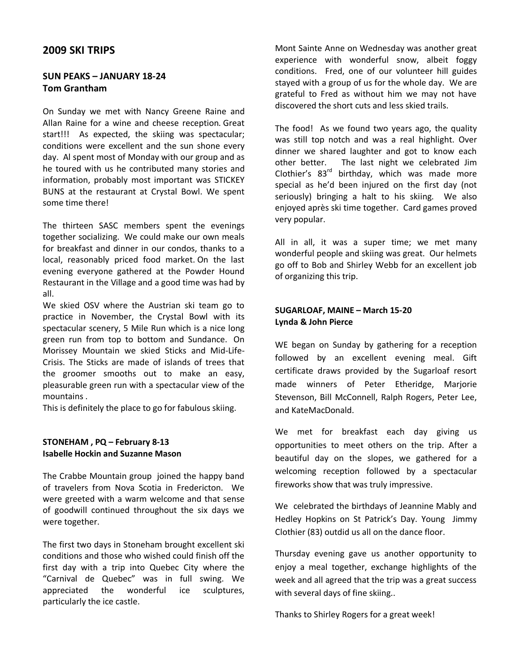#### **2009 SKI TRIPS**

#### **SUN PEAKS – JANUARY 18‐24 Tom Grantham**

On Sunday we met with Nancy Greene Raine and Allan Raine for a wine and cheese reception. Great start!!! As expected, the skiing was spectacular; conditions were excellent and the sun shone every day. Al spent most of Monday with our group and as he toured with us he contributed many stories and information, probably most important was STICKEY BUNS at the restaurant at Crystal Bowl. We spent some time there!

The thirteen SASC members spent the evenings together socializing. We could make our own meals for breakfast and dinner in our condos, thanks to a local, reasonably priced food market. On the last evening everyone gathered at the Powder Hound Restaurant in the Village and a good time was had by all.

We skied OSV where the Austrian ski team go to practice in November, the Crystal Bowl with its spectacular scenery, 5 Mile Run which is a nice long green run from top to bottom and Sundance. On Morissey Mountain we skied Sticks and Mid‐Life‐ Crisis. The Sticks are made of islands of trees that the groomer smooths out to make an easy, pleasurable green run with a spectacular view of the mountains .

This is definitely the place to go for fabulous skiing.

#### **STONEHAM , PQ – February 8‐13 Isabelle Hockin and Suzanne Mason**

The Crabbe Mountain group joined the happy band of travelers from Nova Scotia in Fredericton. We were greeted with a warm welcome and that sense of goodwill continued throughout the six days we were together.

The first two days in Stoneham brought excellent ski conditions and those who wished could finish off the first day with a trip into Quebec City where the "Carnival de Quebec" was in full swing. We appreciated the wonderful ice sculptures, particularly the ice castle.

Mont Sainte Anne on Wednesday was another great experience with wonderful snow, albeit foggy conditions. Fred, one of our volunteer hill guides stayed with a group of us for the whole day. We are grateful to Fred as without him we may not have discovered the short cuts and less skied trails.

The food! As we found two years ago, the quality was still top notch and was a real highlight. Over dinner we shared laughter and got to know each other better. The last night we celebrated Jim Clothier's 83<sup>rd</sup> birthday, which was made more special as he'd been injured on the first day (not seriously) bringing a halt to his skiing. We also enjoyed après ski time together. Card games proved very popular.

All in all, it was a super time; we met many wonderful people and skiing was great. Our helmets go off to Bob and Shirley Webb for an excellent job of organizing this trip.

#### **SUGARLOAF, MAINE – March 15‐20 Lynda & John Pierce**

WE began on Sunday by gathering for a reception followed by an excellent evening meal. Gift certificate draws provided by the Sugarloaf resort made winners of Peter Etheridge, Marjorie Stevenson, Bill McConnell, Ralph Rogers, Peter Lee, and KateMacDonald.

We met for breakfast each day giving us opportunities to meet others on the trip. After a beautiful day on the slopes, we gathered for a welcoming reception followed by a spectacular fireworks show that was truly impressive.

We celebrated the birthdays of Jeannine Mably and Hedley Hopkins on St Patrick's Day. Young Jimmy Clothier (83) outdid us all on the dance floor.

Thursday evening gave us another opportunity to enjoy a meal together, exchange highlights of the week and all agreed that the trip was a great success with several days of fine skiing..

Thanks to Shirley Rogers for a great week!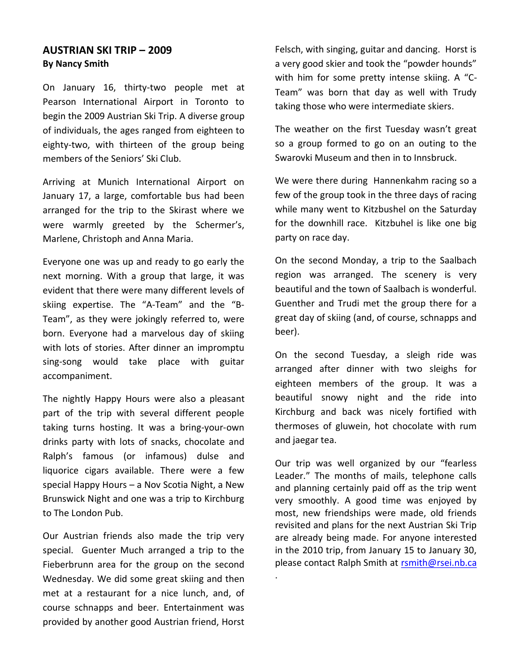#### **AUSTRIAN SKI TRIP – 2009 By Nancy Smith**

On January 16, thirty‐two people met at Pearson International Airport in Toronto to begin the 2009 Austrian Ski Trip. A diverse group of individuals, the ages ranged from eighteen to eighty-two, with thirteen of the group being members of the Seniors' Ski Club.

Arriving at Munich International Airport on January 17, a large, comfortable bus had been arranged for the trip to the Skirast where we were warmly greeted by the Schermer's, Marlene, Christoph and Anna Maria.

Everyone one was up and ready to go early the next morning. With a group that large, it was evident that there were many different levels of skiing expertise. The "A‐Team" and the "B‐ Team", as they were jokingly referred to, were born. Everyone had a marvelous day of skiing with lots of stories. After dinner an impromptu sing-song would take place with guitar accompaniment.

The nightly Happy Hours were also a pleasant part of the trip with several different people taking turns hosting. It was a bring‐your‐own drinks party with lots of snacks, chocolate and Ralph's famous (or infamous) dulse and liquorice cigars available. There were a few special Happy Hours – a Nov Scotia Night, a New Brunswick Night and one was a trip to Kirchburg to The London Pub.

Our Austrian friends also made the trip very special. Guenter Much arranged a trip to the Fieberbrunn area for the group on the second Wednesday. We did some great skiing and then met at a restaurant for a nice lunch, and, of course schnapps and beer. Entertainment was provided by another good Austrian friend, Horst Felsch, with singing, guitar and dancing. Horst is a very good skier and took the "powder hounds" with him for some pretty intense skiing. A "C‐ Team" was born that day as well with Trudy taking those who were intermediate skiers.

The weather on the first Tuesday wasn't great so a group formed to go on an outing to the Swarovki Museum and then in to Innsbruck.

We were there during Hannenkahm racing so a few of the group took in the three days of racing while many went to Kitzbushel on the Saturday for the downhill race. Kitzbuhel is like one big party on race day.

On the second Monday, a trip to the Saalbach region was arranged. The scenery is very beautiful and the town of Saalbach is wonderful. Guenther and Trudi met the group there for a great day of skiing (and, of course, schnapps and beer).

On the second Tuesday, a sleigh ride was arranged after dinner with two sleighs for eighteen members of the group. It was a beautiful snowy night and the ride into Kirchburg and back was nicely fortified with thermoses of gluwein, hot chocolate with rum and jaegar tea.

Our trip was well organized by our "fearless Leader." The months of mails, telephone calls and planning certainly paid off as the trip went very smoothly. A good time was enjoyed by most, new friendships were made, old friends revisited and plans for the next Austrian Ski Trip are already being made. For anyone interested in the 2010 trip, from January 15 to January 30, please contact Ralph Smith at rsmith@rsei.nb.ca

.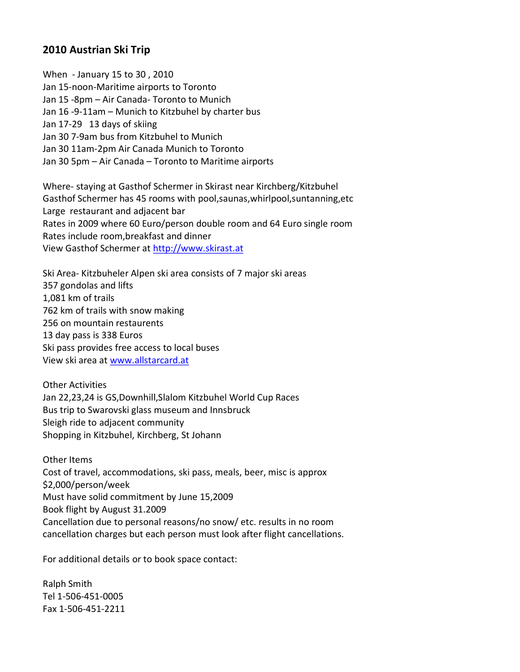#### **2010 Austrian Ski Trip**

When ‐ January 15 to 30 , 2010 Jan 15‐noon‐Maritime airports to Toronto Jan 15 ‐8pm – Air Canada‐ Toronto to Munich Jan 16 ‐9‐11am – Munich to Kitzbuhel by charter bus Jan 17‐29 13 days of skiing Jan 30 7‐9am bus from Kitzbuhel to Munich Jan 30 11am‐2pm Air Canada Munich to Toronto Jan 30 5pm – Air Canada – Toronto to Maritime airports

Where‐ staying at Gasthof Schermer in Skirast near Kirchberg/Kitzbuhel Gasthof Schermer has 45 rooms with pool,saunas,whirlpool,suntanning,etc Large restaurant and adjacent bar Rates in 2009 where 60 Euro/person double room and 64 Euro single room Rates include room,breakfast and dinner View Gasthof Schermer at [http://www.skirast.at](http://www.skirast.at/) 

Ski Area‐ Kitzbuheler Alpen ski area consists of 7 major ski areas 357 gondolas and lifts 1,081 km of trails 762 km of trails with snow making 256 on mountain restaurents 13 day pass is 338 Euros Ski pass provides free access to local buses View ski area at [www.allstarcard.at](http://www.allstarcard.at/)

Other Activities Jan 22,23,24 is GS,Downhill,Slalom Kitzbuhel World Cup Races Bus trip to Swarovski glass museum and Innsbruck Sleigh ride to adjacent community Shopping in Kitzbuhel, Kirchberg, St Johann

Other Items Cost of travel, accommodations, ski pass, meals, beer, misc is approx \$2,000/person/week Must have solid commitment by June 15,2009 Book flight by August 31.2009 Cancellation due to personal reasons/no snow/ etc. results in no room cancellation charges but each person must look after flight cancellations.

For additional details or to book space contact:

Ralph Smith Tel 1‐506‐451‐0005 Fax 1‐506‐451‐2211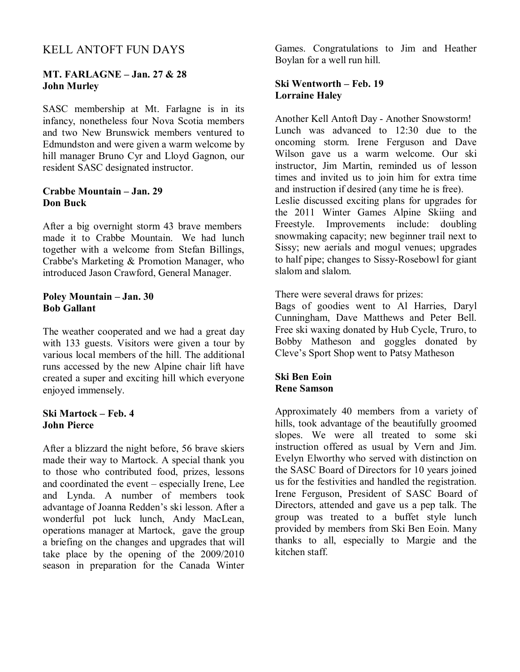# KELL ANTOFT FUN DAYS

#### **MT. FARLAGNE – Jan. 27 & 28 John Murley**

SASC membership at Mt. Farlagne is in its infancy, nonetheless four Nova Scotia members and two New Brunswick members ventured to Edmundston and were given a warm welcome by hill manager Bruno Cyr and Lloyd Gagnon, our resident SASC designated instructor.

#### **Crabbe Mountain – Jan. 29 Don Buck**

After a big overnight storm 43 brave members made it to Crabbe Mountain. We had lunch together with a welcome from Stefan Billings, Crabbe's Marketing & Promotion Manager, who introduced Jason Crawford, General Manager.

#### **Poley Mountain – Jan. 30 Bob Gallant**

The weather cooperated and we had a great day with 133 guests. Visitors were given a tour by various local members of the hill. The additional runs accessed by the new Alpine chair lift have created a super and exciting hill which everyone enjoyed immensely.

#### **Ski Martock – Feb. 4 John Pierce**

After a blizzard the night before, 56 brave skiers made their way to Martock. A special thank you to those who contributed food, prizes, lessons and coordinated the event – especially Irene, Lee and Lynda. A number of members took advantage of Joanna Redden's ski lesson. After a wonderful pot luck lunch, Andy MacLean, operations manager at Martock, gave the group a briefing on the changes and upgrades that will take place by the opening of the 2009/2010 season in preparation for the Canada Winter Games. Congratulations to Jim and Heather Boylan for a well run hill.

#### **Ski Wentworth – Feb. 19 Lorraine Haley**

Another Kell Antoft Day - Another Snowstorm! Lunch was advanced to 12:30 due to the oncoming storm. Irene Ferguson and Dave Wilson gave us a warm welcome. Our ski instructor, Jim Martin, reminded us of lesson times and invited us to join him for extra time and instruction if desired (any time he is free). Leslie discussed exciting plans for upgrades for the 2011 Winter Games Alpine Skiing and Freestyle. Improvements include: doubling snowmaking capacity; new beginner trail next to Sissy; new aerials and mogul venues; upgrades

to half pipe; changes to Sissy-Rosebowl for giant slalom and slalom.

There were several draws for prizes:

Bags of goodies went to Al Harries, Daryl Cunningham, Dave Matthews and Peter Bell. Free ski waxing donated by Hub Cycle, Truro, to Bobby Matheson and goggles donated by Cleve's Sport Shop went to Patsy Matheson

#### **Ski Ben Eoin Rene Samson**

Approximately 40 members from a variety of hills, took advantage of the beautifully groomed slopes. We were all treated to some ski instruction offered as usual by Vern and Jim. Evelyn Elworthy who served with distinction on the SASC Board of Directors for 10 years joined us for the festivities and handled the registration. Irene Ferguson, President of SASC Board of Directors, attended and gave us a pep talk. The group was treated to a buffet style lunch provided by members from Ski Ben Eoin. Many thanks to all, especially to Margie and the kitchen staff.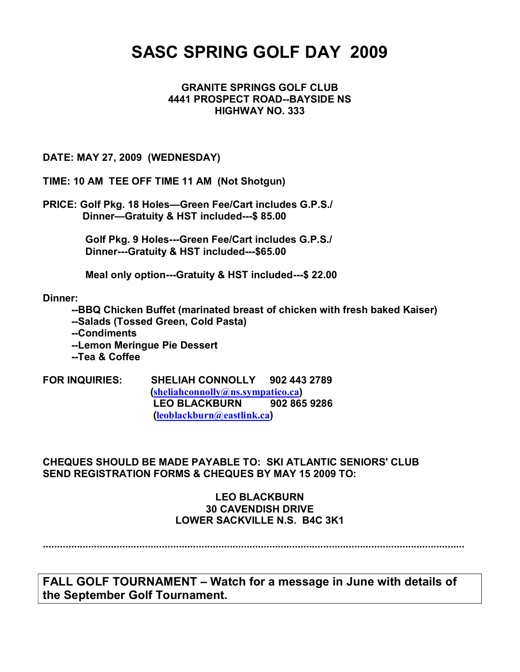# **SASC SPRING GOLF DAY 2009**

#### **GRANITE SPRINGS GOLF CLUB 4441 PROSPECT ROAD--BAYSIDE NS HIGHWAY NO. 333**

#### **DATE: MAY 27, 2009 (WEDNESDAY)**

**TIME: 10 AM TEE OFF TIME 11 AM (Not Shotgun)**

**PRICE: Golf Pkg. 18 Holes—Green Fee/Cart includes G.P.S./ Dinner-Gratuity & HST included---\$ 85.00** 

> Golf Pkg. 9 Holes---Green Fee/Cart includes G.P.S./ **Dinner---Gratuity & HST included---\$65.00**

**Meal only option---Gratuity & HST included---\$ 22.00** 

**Dinner:** 

**BBQ Chicken Buffet (marinated breast of chicken with fresh baked Kaiser) Salads (Tossed Green, Cold Pasta) Condiments Lemon Meringue Pie Dessert**

**Tea & Coffee**

**FOR INQUIRIES: SHELIAH CONNOLLY 902 443 2789 ([sheliahconnolly@ns.sympatico.ca](mailto:sheliahconnolly@ns.sympatico.ca)) LEO BLACKBURN 902 865 9286 ([leoblackburn@eastlink.ca](mailto:leoblackburn@eastlink.ca))**

**CHEQUES SHOULD BE MADE PAYABLE TO: SKI ATLANTIC SENIORS' CLUB SEND REGISTRATION FORMS & CHEQUES BY MAY 15 2009 TO:**

#### **LEO BLACKBURN 30 CAVENDISH DRIVE LOWER SACKVILLE N.S. B4C 3K1**

**.....................................................................................................................................................**

**FALL GOLF TOURNAMENT – Watch for a message in June with details of the September Golf Tournament.**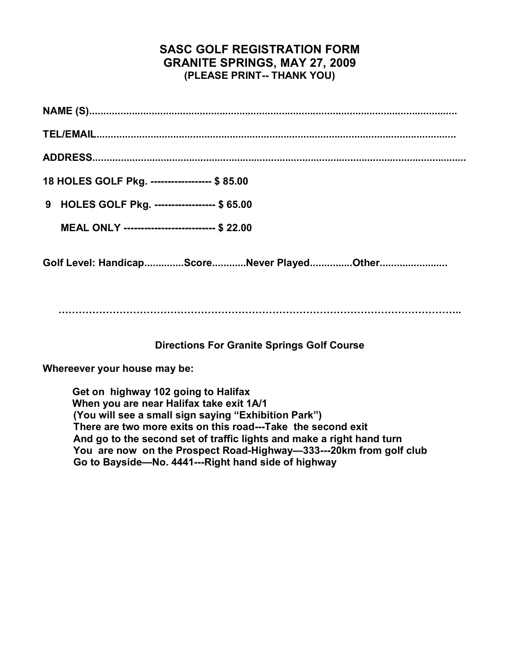# **SASC GOLF REGISTRATION FORM GRANITE SPRINGS, MAY 27, 2009 (PLEASE PRINT THANK YOU)**

| 18 HOLES GOLF Pkg. ------------------ \$85.00  |
|------------------------------------------------|
| 9 HOLES GOLF Pkg. ------------------ \$65.00   |
| MEAL ONLY --------------------------- \$ 22.00 |
| Golf Level: HandicapScoreNever PlayedOther     |

**………………………………………………………………………………………………………..** 

### **Directions For Granite Springs Golf Course**

**Whereever your house may be:**

**Get on highway 102 going to Halifax When you are near Halifax take exit 1A/1 (You will see a small sign saying "Exhibition Park")** There are two more exits on this road---Take the second exit **And go to the second set of traffic lights and make a right hand turn** You are now on the Prospect Road-Highway—333---20km from golf club Go to Bayside-No. 4441---Right hand side of highway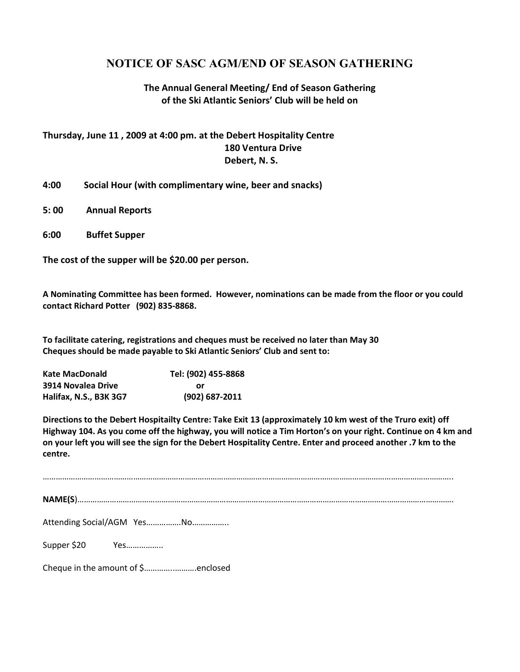# **NOTICE OF SASC AGM/END OF SEASON GATHERING**

#### **The Annual General Meeting/ End of Season Gathering of the Ski Atlantic Seniors' Club will be held on**

#### **Thursday, June 11 , 2009 at 4:00 pm. at the Debert Hospitality Centre 180 Ventura Drive Debert, N. S.**

- **4:00 Social Hour (with complimentary wine, beer and snacks)**
- **5: 00 Annual Reports**
- **6:00 Buffet Supper**

**The cost of the supper will be \$20.00 per person.** 

**A Nominating Committee has been formed. However, nominations can be made from the floor or you could contact Richard Potter (902) 835‐8868.** 

**To facilitate catering, registrations and cheques must be received no later than May 30 Cheques should be made payable to Ski Atlantic Seniors' Club and sent to:**

| <b>Kate MacDonald</b>  | Tel: (902) 455-8868 |
|------------------------|---------------------|
| 3914 Novalea Drive     | or                  |
| Halifax, N.S., B3K 3G7 | (902) 687-2011      |

**Directions to the Debert Hospitailty Centre: Take Exit 13 (approximately 10 km west of the Truro exit) off Highway 104. As you come off the highway, you will notice a Tim Horton's on your right. Continue on 4 km and on your left you will see the sign for the Debert Hospitality Centre. Enter and proceed another .7 km to the centre.**

| Attending Social/AGM YesNo         |
|------------------------------------|
| Supper \$20 Yes                    |
| Cheque in the amount of \$enclosed |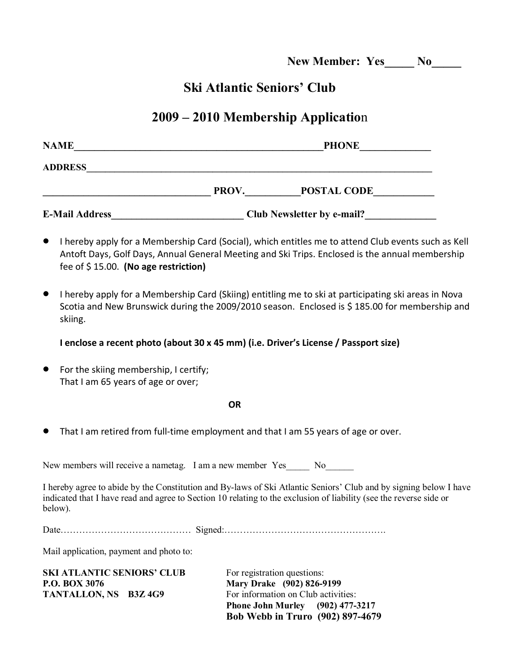**New Member: Yes\_\_\_\_\_ No\_\_\_\_\_** 

# **Ski Atlantic Seniors' Club**

# **2009 – 2010 Membership Applicatio**n

| <b>NAME</b>           |       | <b>PHONE</b>                      |  |
|-----------------------|-------|-----------------------------------|--|
| <b>ADDRESS</b>        |       |                                   |  |
|                       | PROV. | <b>POSTAL CODE</b>                |  |
| <b>E-Mail Address</b> |       | <b>Club Newsletter by e-mail?</b> |  |

 I hereby apply for a Membership Card (Social), which entitles me to attend Club events such as Kell Antoft Days, Golf Days, Annual General Meeting and Ski Trips. Enclosed is the annual membership fee of \$ 15.00. **(No age restriction)**

 I hereby apply for a Membership Card (Skiing) entitling me to ski at participating ski areas in Nova Scotia and New Brunswick during the 2009/2010 season. Enclosed is \$ 185.00 for membership and skiing.

#### **I enclose a recent photo (about 30 x 45 mm) (i.e. Driver's License / Passport size)**

 For the skiing membership, I certify; That I am 65 years of age or over;

**OR** 

That I am retired from full-time employment and that I am 55 years of age or over.

New members will receive a nametag. I am a new member Yes No

I hereby agree to abide by the Constitution and By-laws of Ski Atlantic Seniors' Club and by signing below I have indicated that I have read and agree to Section 10 relating to the exclusion of liability (see the reverse side or below).

Mail application, payment and photo to:

| SKI ATLANTIC SENIORS' CLUB |  |  |
|----------------------------|--|--|
| <b>P.O. BOX 3076</b>       |  |  |
| TANTALLON, NS B3Z 4G9      |  |  |

For registration questions: **Mary Drake** (902) 826-9199 For information on Club activities: **Phone John Murley (902) 4773217 Bob Webb in Truro (902) 8974679**